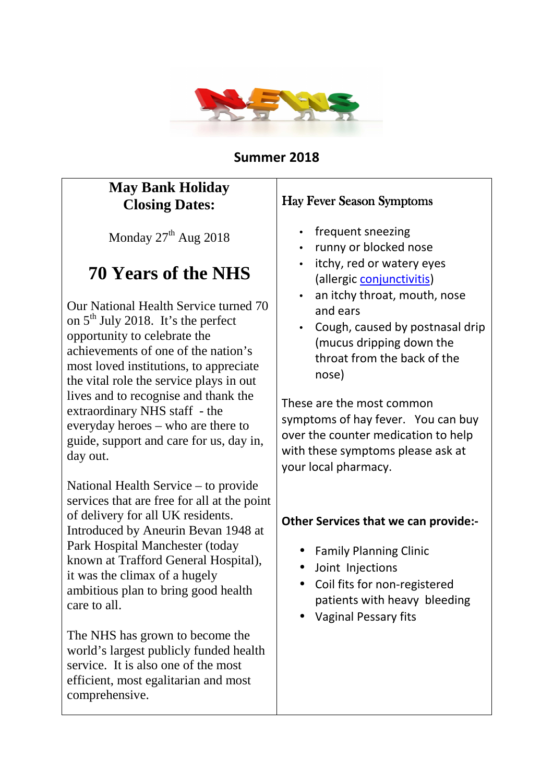

#### **Summer 2018**

## **May Bank Holiday Closing Dates:**

Monday  $27<sup>th</sup>$  Aug 2018

# **70 Years of the NHS**

Our National Health Service turned 70 on  $5<sup>th</sup>$  July 2018. It's the perfect opportunity to celebrate the achievements of one of the nation's most loved institutions, to appreciate the vital role the service plays in out lives and to recognise and thank the extraordinary NHS staff - the everyday heroes – who are there to guide, support and care for us, day in, day out.

National Health Service – to provide services that are free for all at the point of delivery for all UK residents. Introduced by Aneurin Bevan 1948 at Park Hospital Manchester (today known at Trafford General Hospital), it was the climax of a hugely ambitious plan to bring good health care to all.

The NHS has grown to become the world's largest publicly funded health service. It is also one of the most efficient, most egalitarian and most comprehensive.

#### Hay Fever Season Symptoms

- frequent sneezing
- runny or blocked nose
- itchy, red or watery eyes (allergic conjunctivitis)
- an itchy throat, mouth, nose and ears
- Cough, caused by postnasal drip (mucus dripping down the throat from the back of the nose)

These are the most common symptoms of hay fever. You can buy over the counter medication to help with these symptoms please ask at your local pharmacy.

#### **Other Services that we can provide:-**

- Family Planning Clinic
- Joint Injections
- Coil fits for non-registered patients with heavy bleeding
- Vaginal Pessary fits